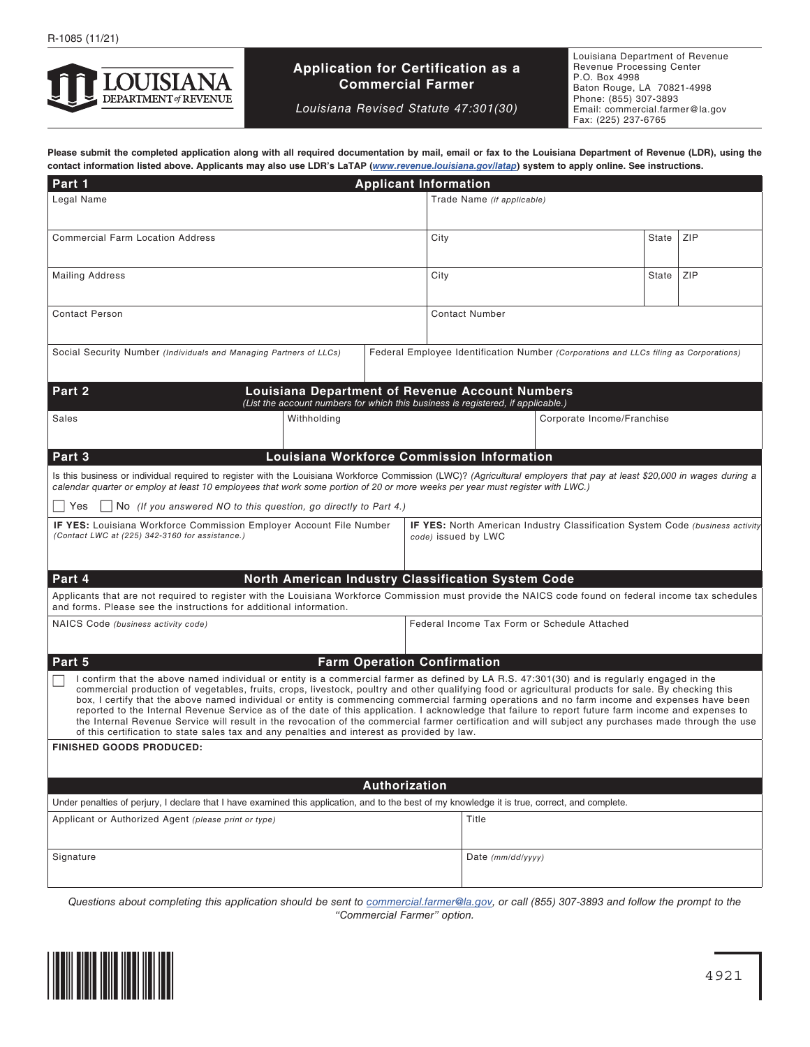

# **Application for Certification as a Commercial Farmer**

*Louisiana Revised Statute 47:301(30)*

Louisiana Department of Revenue Revenue Processing Center P.O. Box 4998 Baton Rouge, LA 70821-4998 Phone: (855) 307-3893 Email: commercial.farmer@la.gov Fax: (225) 237-6765

**Please submit the completed application along with all required documentation by mail, email or fax to the Louisiana Department of Revenue (LDR), using the contact information listed above. Applicants may also use LDR's LaTAP (***[www.revenue.louisiana.gov/latap](http://www.revenue.louisiana.gov/latap)***) system to apply online. See instructions.**

| Part 1<br><b>Applicant Information</b>                                                                                                                                                                                                                                                                                                                                                                                                                                                                                                                                                                                                                                                                                                                                                                                                                                |                                            |                       |                                                                                                             |                            |       |       |     |  |
|-----------------------------------------------------------------------------------------------------------------------------------------------------------------------------------------------------------------------------------------------------------------------------------------------------------------------------------------------------------------------------------------------------------------------------------------------------------------------------------------------------------------------------------------------------------------------------------------------------------------------------------------------------------------------------------------------------------------------------------------------------------------------------------------------------------------------------------------------------------------------|--------------------------------------------|-----------------------|-------------------------------------------------------------------------------------------------------------|----------------------------|-------|-------|-----|--|
| Legal Name                                                                                                                                                                                                                                                                                                                                                                                                                                                                                                                                                                                                                                                                                                                                                                                                                                                            |                                            |                       | Trade Name (if applicable)                                                                                  |                            |       |       |     |  |
| <b>Commercial Farm Location Address</b>                                                                                                                                                                                                                                                                                                                                                                                                                                                                                                                                                                                                                                                                                                                                                                                                                               |                                            |                       | City                                                                                                        |                            |       | State | ZIP |  |
| <b>Mailing Address</b>                                                                                                                                                                                                                                                                                                                                                                                                                                                                                                                                                                                                                                                                                                                                                                                                                                                |                                            | City                  |                                                                                                             |                            | State | ZIP   |     |  |
| <b>Contact Person</b>                                                                                                                                                                                                                                                                                                                                                                                                                                                                                                                                                                                                                                                                                                                                                                                                                                                 |                                            | <b>Contact Number</b> |                                                                                                             |                            |       |       |     |  |
| Social Security Number (Individuals and Managing Partners of LLCs)                                                                                                                                                                                                                                                                                                                                                                                                                                                                                                                                                                                                                                                                                                                                                                                                    |                                            |                       | Federal Employee Identification Number (Corporations and LLCs filing as Corporations)                       |                            |       |       |     |  |
| Part 2<br><b>Louisiana Department of Revenue Account Numbers</b><br>(List the account numbers for which this business is registered, if applicable.)                                                                                                                                                                                                                                                                                                                                                                                                                                                                                                                                                                                                                                                                                                                  |                                            |                       |                                                                                                             |                            |       |       |     |  |
| Sales<br>Withholding                                                                                                                                                                                                                                                                                                                                                                                                                                                                                                                                                                                                                                                                                                                                                                                                                                                  |                                            |                       |                                                                                                             | Corporate Income/Franchise |       |       |     |  |
| Part 3                                                                                                                                                                                                                                                                                                                                                                                                                                                                                                                                                                                                                                                                                                                                                                                                                                                                | Louisiana Workforce Commission Information |                       |                                                                                                             |                            |       |       |     |  |
| Is this business or individual required to register with the Louisiana Workforce Commission (LWC)? (Agricultural employers that pay at least \$20,000 in wages during a<br>calendar quarter or employ at least 10 employees that work some portion of 20 or more weeks per year must register with LWC.)                                                                                                                                                                                                                                                                                                                                                                                                                                                                                                                                                              |                                            |                       |                                                                                                             |                            |       |       |     |  |
| No (If you answered NO to this question, go directly to Part 4.)<br>Yes                                                                                                                                                                                                                                                                                                                                                                                                                                                                                                                                                                                                                                                                                                                                                                                               |                                            |                       |                                                                                                             |                            |       |       |     |  |
| <b>IF YES:</b> Louisiana Workforce Commission Employer Account File Number<br>(Contact LWC at (225) 342-3160 for assistance.)                                                                                                                                                                                                                                                                                                                                                                                                                                                                                                                                                                                                                                                                                                                                         |                                            |                       | <b>IF YES:</b> North American Industry Classification System Code (business activity<br>code) issued by LWC |                            |       |       |     |  |
| Part 4<br>North American Industry Classification System Code                                                                                                                                                                                                                                                                                                                                                                                                                                                                                                                                                                                                                                                                                                                                                                                                          |                                            |                       |                                                                                                             |                            |       |       |     |  |
| Applicants that are not required to register with the Louisiana Workforce Commission must provide the NAICS code found on federal income tax schedules<br>and forms. Please see the instructions for additional information.                                                                                                                                                                                                                                                                                                                                                                                                                                                                                                                                                                                                                                          |                                            |                       |                                                                                                             |                            |       |       |     |  |
| NAICS Code (business activity code)                                                                                                                                                                                                                                                                                                                                                                                                                                                                                                                                                                                                                                                                                                                                                                                                                                   |                                            |                       | Federal Income Tax Form or Schedule Attached                                                                |                            |       |       |     |  |
| Part 5<br><b>Farm Operation Confirmation</b>                                                                                                                                                                                                                                                                                                                                                                                                                                                                                                                                                                                                                                                                                                                                                                                                                          |                                            |                       |                                                                                                             |                            |       |       |     |  |
| I confirm that the above named individual or entity is a commercial farmer as defined by LA R.S. 47:301(30) and is regularly engaged in the<br>commercial production of vegetables, fruits, crops, livestock, poultry and other qualifying food or agricultural products for sale. By checking this<br>box, I certify that the above named individual or entity is commencing commercial farming operations and no farm income and expenses have been<br>reported to the Internal Revenue Service as of the date of this application. I acknowledge that failure to report future farm income and expenses to<br>the Internal Revenue Service will result in the revocation of the commercial farmer certification and will subject any purchases made through the use<br>of this certification to state sales tax and any penalties and interest as provided by law. |                                            |                       |                                                                                                             |                            |       |       |     |  |
| <b>FINISHED GOODS PRODUCED:</b>                                                                                                                                                                                                                                                                                                                                                                                                                                                                                                                                                                                                                                                                                                                                                                                                                                       |                                            |                       |                                                                                                             |                            |       |       |     |  |
|                                                                                                                                                                                                                                                                                                                                                                                                                                                                                                                                                                                                                                                                                                                                                                                                                                                                       |                                            |                       |                                                                                                             |                            |       |       |     |  |
| Authorization                                                                                                                                                                                                                                                                                                                                                                                                                                                                                                                                                                                                                                                                                                                                                                                                                                                         |                                            |                       |                                                                                                             |                            |       |       |     |  |
| Under penalties of perjury, I declare that I have examined this application, and to the best of my knowledge it is true, correct, and complete.                                                                                                                                                                                                                                                                                                                                                                                                                                                                                                                                                                                                                                                                                                                       |                                            |                       |                                                                                                             |                            |       |       |     |  |
| Applicant or Authorized Agent (please print or type)                                                                                                                                                                                                                                                                                                                                                                                                                                                                                                                                                                                                                                                                                                                                                                                                                  |                                            |                       |                                                                                                             | Title                      |       |       |     |  |
| Signature                                                                                                                                                                                                                                                                                                                                                                                                                                                                                                                                                                                                                                                                                                                                                                                                                                                             |                                            |                       |                                                                                                             | Date $(mm/dd/yyyy)$        |       |       |     |  |
|                                                                                                                                                                                                                                                                                                                                                                                                                                                                                                                                                                                                                                                                                                                                                                                                                                                                       |                                            |                       |                                                                                                             |                            |       |       |     |  |

*Questions about completing this application should be sent to [commercial.farmer@la.gov](mailto:commercial.farmer%40la.gov?subject=), or call (855) 307-3893 and follow the prompt to the "Commercial Farmer" option.*